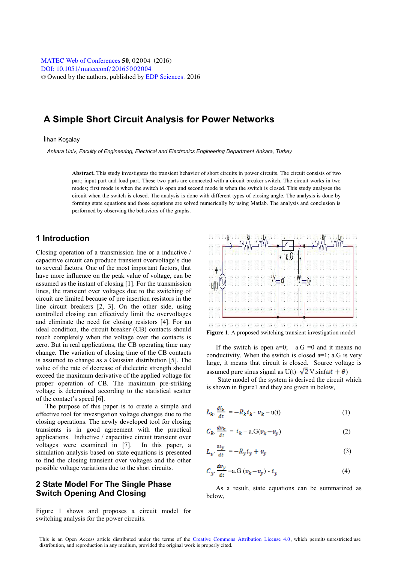[DOI: 10.1051](http://dx.doi.org/10.1051/matecconf/20165002004)/matecconf/20165002004 © Owned by the authors, published by [EDP Sciences](http://www.edpsciences.org), 2016 MATEC [Web of Conferences](http://www.matec-conferences.org) 50, 02004 (2016)

## **A Simple Short Circuit Analysis for Power Networks**

İlhan Koşalay

 *Ankara Univ, Faculty of Engineering, Electrical and Electronics Engineering Department Ankara, Turkey* 

**Abstract.** This study investigates the transient behavior of short circuits in power circuits. The circuit consists of two part; input part and load part. These two parts are connected with a circuit breaker switch. The circuit works in two modes; first mode is when the switch is open and second mode is when the switch is closed. This study analyses the circuit when the switch is closed. The analysis is done with different types of closing angle. The analysis is done by forming state equations and those equations are solved numerically by using Matlab. The analysis and conclusion is performed by observing the behaviors of the graphs.

## **1 Introduction**

Closing operation of a transmission line or a inductive / capacitive circuit can produce transient overvoltage's due to several factors. One of the most important factors, that have more influence on the peak value of voltage, can be assumed as the instant of closing [1]. For the transmission lines, the transient over voltages due to the switching of circuit are limited because of pre insertion resistors in the line circuit breakers [2, 3]. On the other side, using controlled closing can effectively limit the overvoltages and eliminate the need for closing resistors [4]. For an ideal condition, the circuit breaker (CB) contacts should touch completely when the voltage over the contacts is zero. But in real applications, the CB operating time may change. The variation of closing time of the CB contacts is assumed to change as a Gaussian distribution [5]. The value of the rate of decrease of dielectric strength should exceed the maximum derivative of the applied voltage for proper operation of CB. The maximum pre-striking voltage is determined according to the statistical scatter of the contact's speed [6].

The purpose of this paper is to create a simple and effective tool for investigation voltage changes due to the closing operations. The newly developed tool for closing transients is in good agreement with the practical applications. Inductive / capacitive circuit transient over voltages were examined in [7]. In this paper, a simulation analysis based on state equations is presented to find the closing transient over voltages and the other possible voltage variations due to the short circuits.

## **2 State Model For The Single Phase Switch Opening And Closing**

Figure 1 shows and proposes a circuit model for switching analysis for the power circuits.



**Figure 1**. A proposed switching transient investigation model

If the switch is open  $a=0$ ;  $a.G = 0$  and it means no conductivity. When the switch is closed  $a=1$ ; a.G is very large, it means that circuit is closed. Source voltage is assumed pure sinus signal as U(t)= $\sqrt{2}$  V.sin( $\omega t + \theta$ )

 State model of the system is derived the circuit which is shown in figure1 and they are given in below,

$$
L_k \frac{di_k}{dt} = -R_k i_k \cdot \nu_k - u(t) \tag{1}
$$

$$
C_k \frac{dv_k}{dt} = i_k - a \cdot G(v_k - v_y) \tag{2}
$$

$$
L_y \frac{a_{1y}}{dt} = -R_y i_y + v_y \tag{3}
$$

$$
C_y \cdot \frac{dv_y}{dt} = a \cdot G \left(v_k - v_y\right) \cdot i_y \tag{4}
$$

As a result, state equations can be summarized as below,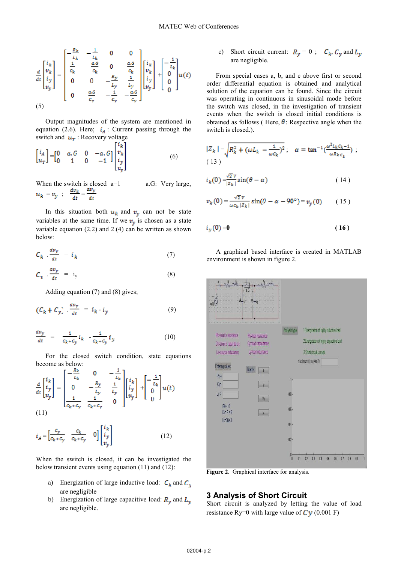$$
\frac{d}{dt} \begin{bmatrix} i_k \\ v_k \\ i_y \\ v_y \end{bmatrix} = \begin{bmatrix} -\frac{R_k}{L_k} & -\frac{1}{L_k} & 0 & 0 \\ \frac{1}{c_k} & -\frac{a \cdot G}{c_k} & 0 & \frac{a \cdot G}{c_k} \\ 0 & 0 & -\frac{R_y}{L_y} & \frac{1}{L_y} \\ 0 & \frac{a \cdot G}{c_y} & -\frac{1}{c_y} & -\frac{a \cdot G}{c_y} \end{bmatrix} \begin{bmatrix} i_k \\ v_k \\ i_y \\ v_y \end{bmatrix} + \begin{bmatrix} -\frac{1}{L_k} \\ 0 \\ 0 \\ 0 \end{bmatrix} u(t)
$$
\n(5)

Output magnitudes of the system are mentioned in equation (2.6). Here;  $i_A$ : Current passing through the switch and  $\mathbf{u}_T$ : Recovery voltage

$$
\begin{bmatrix} i_A \\ u_T \end{bmatrix} = \begin{bmatrix} 0 & a, G & 0 & -a, G \\ 0 & 1 & 0 & -1 \end{bmatrix} \begin{bmatrix} i_k \\ v_k \\ i_y \\ v_y \end{bmatrix}
$$
 (6)

When the switch is closed  $a=1$  a.G: Very large,  $u_k = v_y$ ;  $\frac{dv_k}{dt} = \frac{dv_y}{dt}$ 

In this situation both  $u_k$  and  $v_y$  can not be state variables at the same time. If we  $v_y$  is chosen as a state variable equation (2.2) and 2.(4) can be written as shown below:

$$
C_k \quad \frac{dv_y}{dt} = i_k \tag{7}
$$

$$
C_y \frac{dv_y}{dt} = i_y \tag{8}
$$

Adding equation (7) and (8) gives;

$$
\left(C_k + C_y\right) \frac{dv_y}{dt} = i_k \cdot i_y \tag{9}
$$

$$
\frac{dv_y}{dt} = \frac{1}{c_k + c_y} i_k - \frac{1}{c_k + c_y} i_y \tag{10}
$$

For the closed switch condition, state equations become as below:

$$
\frac{d}{dt}\begin{bmatrix} i_k \\ i_y \\ v_y \end{bmatrix} = \begin{bmatrix} -\frac{\alpha_k}{L_k} & 0 & -\frac{1}{L_k} \\ 0 & -\frac{R_y}{L_y} & \frac{1}{L_y} \\ \frac{1}{c_k + c_y} & \frac{1}{c_k + c_y} & 0 \end{bmatrix} \begin{bmatrix} i_k \\ i_y \\ v_y \end{bmatrix} + \begin{bmatrix} -\frac{1}{L_k} \\ 0 \\ 0 \end{bmatrix} u(t)
$$
\n(11)

$$
i_A = \begin{bmatrix} \frac{c_y}{c_k + c_y} & \frac{c_k}{c_k + c_y} & 0 \end{bmatrix} \begin{bmatrix} i_k \\ i_y \\ v_y \end{bmatrix}
$$
 (12)

When the switch is closed, it can be investigated the below transient events using equation (11) and (12):

- a) Energization of large inductive load:  $C_k$  and  $C_v$ are negligible
- b) Energization of large capacitive load:  $R_y$  and  $L_y$ are negligible.

c) Short circuit current:  $R_y = 0$ ;  $C_k$ ,  $C_y$  and  $L_y$ are negligible.

From special cases a, b, and c above first or second order differential equation is obtained and analytical solution of the equation can be found. Since the circuit was operating in continuous in sinusoidal mode before the switch was closed, in the investigation of transient events when the switch is closed initial conditions is obtained as follows (Here,  $\theta$ : Respective angle when the switch is closed.).

$$
|Z_k| = \sqrt{R_k^2 + (\omega L_k - \frac{1}{\omega c_k})^2}; \quad \alpha = \tan^{-1}(\frac{\omega^2 L_k c_{k-1}}{\omega R_k c_k});
$$
\n(13)

$$
i_k(0) = \frac{\sqrt{2}v}{|z_k|} \sin(\theta - \alpha) \tag{14}
$$

$$
v_k(0) = \frac{\sqrt{2}v}{\omega c_k |z_k|} \sin(\theta - \alpha - 90^\circ) = v_y(0) \qquad (15)
$$

$$
i_{y}(0)=0 \tag{16}
$$

A graphical based interface is created in MATLAB environment is shown in figure 2.



**Figure 2**. Graphical interface for analysis.

#### **3 Analysis of Short Circuit**

Short circuit is analyzed by letting the value of load resistance Ry=0 with large value of  $\mathbb{C}y$  (0.001 F)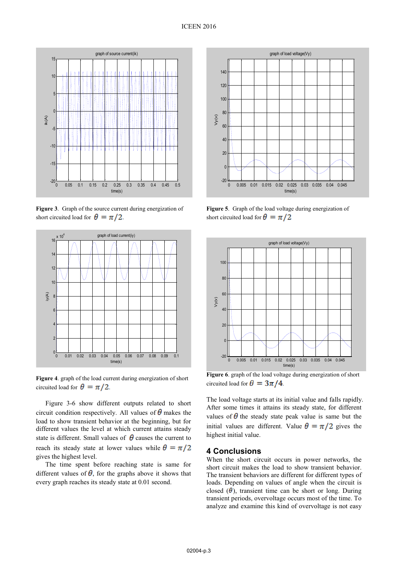

**Figure 3**. Graph of the source current during energization of short circuited load for  $\theta = \pi/2$ .



**Figure 4**. graph of the load current during energization of short circuited load for  $\theta = \pi/2$ .

Figure 3-6 show different outputs related to short circuit condition respectively. All values of  $\theta$  makes the load to show transient behavior at the beginning, but for different values the level at which current attains steady state is different. Small values of  $\theta$  causes the current to reach its steady state at lower values while  $\theta = \pi/2$ gives the highest level.

The time spent before reaching state is same for different values of  $\theta$ , for the graphs above it shows that every graph reaches its steady state at 0.01 second.



**Figure 5**. Graph of the load voltage during energization of short circuited load for  $\theta = \pi/2$ 



**Figure 6**. graph of the load voltage during energization of short circuited load for  $\theta = 3\pi/4$ .

The load voltage starts at its initial value and falls rapidly. After some times it attains its steady state, for different values of  $\theta$  the steady state peak value is same but the initial values are different. Value  $\theta = \pi/2$  gives the highest initial value.

### **4 Conclusions**

When the short circuit occurs in power networks, the short circuit makes the load to show transient behavior. The transient behaviors are different for different types of loads. Depending on values of angle when the circuit is closed  $(\theta)$ , transient time can be short or long. During transient periods, overvoltage occurs most of the time. To analyze and examine this kind of overvoltage is not easy